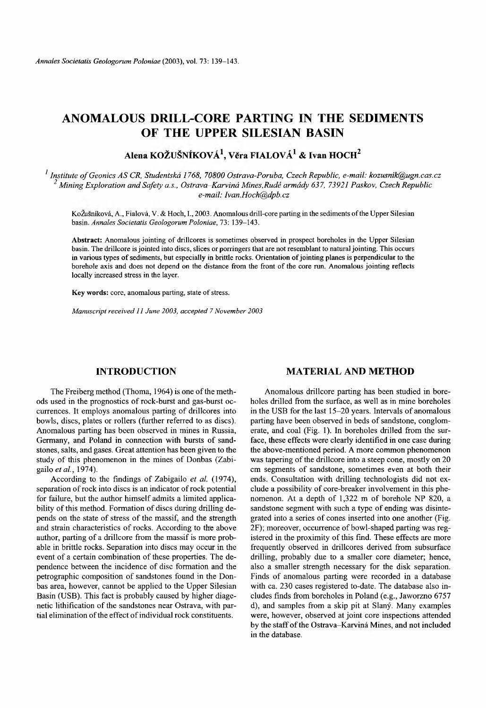# **ANOMALOUS DRILL-CORE PARTING IN THE SEDIMENTS OF THE UPPER SILESIAN BASIN**

## **Alena KOZUSNIKOVA1, Vera FIALOVA1 & Ivan HOCH2**

<sup>1</sup> Institute of Geonics AS CR, Studentska 1768, 70800 Ostrava-Poruba, Czech Republic, e-mail: *[kozusnik@ugn.cas.cz](mailto:kozusnik@ugn.cas.cz) 2 Mining Exploration and Safety a.s., Ostrava-Karvina Mines,Rude armady 637, 73921 Paskov, Czech Republic e-mail: [Ivan.Hoch@dpb.cz](mailto:Ivan.Hoch@dpb.cz)*

KoŽušníková, A., Fialová, V. & Hoch, I., 2003. Anomalous drill-core parting in the sediments of the Upper Silesian basin. *Annales Societatis Geologorum Poloniae,* 73: 139-143.

A bstract: Anomalous jointing of drillcores is sometimes observed in prospect boreholes in the Upper Silesian basin. The drillcore is jointed into discs, slices or porringers that are not resemblant to natural jointing. This occurs in various types of sediments, but especially in brittle rocks. Orientation of jointing planes is perpendicular to the borehole axis and does not depend on the distance from the front of the core run. Anomalous jointing reflects locally increased stress in the layer.

Key words: core, anomalous parting, state of stress.

*Manuscript received 11 June 2003, accepted* 7 *November 2003*

## **INTRODUCTION**

The Freiberg method (Thoma, 1964) is one of the methods used in the prognostics of rock-burst and gas-burst occurrences. It employs anomalous parting of drillcores into bowls, discs, plates or rollers (further referred to as discs). Anomalous parting has been observed in mines in Russia, Germany, and Poland in connection with bursts of sandstones, salts, and gases. Great attention has been given to the study of this phenomenon in the mines of Donbas (Zabigailo *et al.,* 1974).

According to the findings of Zabigailo *et al.* (1974), separation of rock into discs is an indicator of rock potential for failure, but the author himself admits a limited applicability of this method. Formation of discs during drilling depends on the state of stress of the massif, and the strength and strain characteristics of rocks. According to the above author, parting of a drillcore from the massif is more probable in brittle rocks. Separation into discs may occur in the event of a certain combination of these properties. The dependence between the incidence of disc formation and the petrographic composition of sandstones found in the Donbas area, however, cannot be applied to the Upper Silesian Basin (USB). This fact is probably caused by higher diagenetic lithification of the sandstones near Ostrava, with partial elimination of the effect of individual rock constituents.

### **MATERIAL AND METHOD**

Anomalous drillcore parting has been studied in boreholes drilled from the surface, as well as in mine boreholes in the USB for the last  $15-20$  years. Intervals of anomalous parting have been observed in beds of sandstone, conglomerate, and coal (Fig. 1). In boreholes drilled from the surface, these effects were clearly identified in one case during the above-mentioned period. A more common phenomenon was tapering of the drillcore into a steep cone, mostly on 20 cm segments of sandstone, sometimes even at both their ends. Consultation with drilling technologists did not exclude a possibility of core-breaker involvement in this phenomenon. At a depth of 1,322 m of borehole NP 820, a sandstone segment with such a type of ending was disintegrated into a series of cones inserted into one another (Fig. 2F); moreover, occurrence of bowl-shaped parting was registered in the proximity of this find. These effects are more frequently observed in drillcores derived from subsurface drilling, probably due to a smaller core diameter; hence, also a smaller strength necessary for the disk separation. Finds of anomalous parting were recorded in a database with ca. 230 cases registered to-date. The database also includes finds from boreholes in Poland (e.g., Jaworzno 6757 d), and samples from a skip pit at Slany. Many examples were, however, observed at joint core inspections attended by the staff of the Ostrava-Karvina Mines, and not included in the database.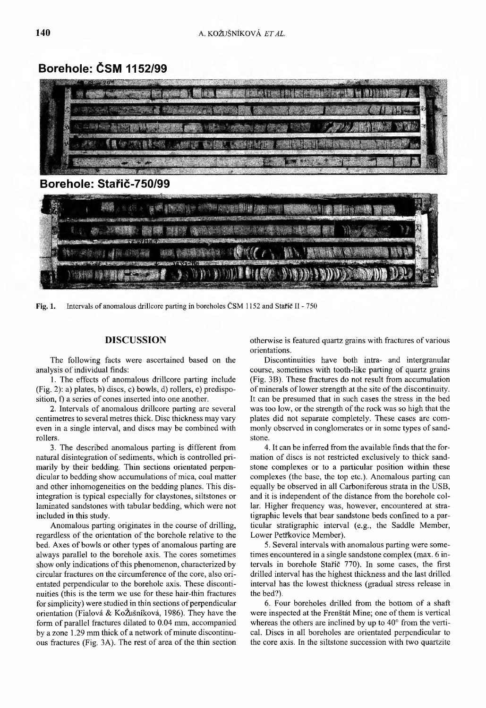## **Borehole: CSM 1152/99**



Fig. 1. Intervals of anomalous drillcore parting in boreholes ČSM 1152 and Staric II - 750

## **DISCUSSION**

The following facts were ascertained based on the analysis of individual finds:

1. The effects of anomalous drillcore parting include (Fig. 2): a) plates, b) discs, c) bowls, d) rollers, e) predisposition, f) a series of cones inserted into one another.

2. Intervals of anomalous drillcore parting are several centimetres to several metres thick. Disc thickness may vary even in a single interval, and discs may be combined with rollers.

3. The described anomalous parting is different from natural disintegration of sediments, which is controlled primarily by their bedding. Thin sections orientated perpendicular to bedding show accumulations of mica, coal matter and other inhomogeneities on the bedding planes. This disintegration is typical especially for claystones, siltstones or laminated sandstones with tabular bedding, which were not included in this study.

Anomalous parting originates in the course of drilling, regardless of the orientation of the borehole relative to the bed. Axes of bowls or other types of anomalous parting are always parallel to the borehole axis. The cores sometimes show only indications of this phenomenon, characterized by circular fractures on the circum ference of the core, also orientated perpendicular to the borehole axis. These discontinuities (this is the term we use for these hair-thin fractures for simplicity) were studied in thin sections of perpendicular orientation (Fialova & KoZusnikova, 1986). They have the form of parallel fractures dilated to 0.04 mm, accompanied by a zone 1.29 mm thick of a network of minute discontinuous fractures (Fig. 3A). The rest of area of the thin section otherwise is featured quartz grains with fractures of various orientations.

Discontinuities have both intra- and intergranular course, sometimes with tooth-like parting of quartz grains (Fig. 3B). These fractures do not result from accumulation of minerals of lower strength at the site of the discontinuity. It can be presumed that in such cases the stress in the bed was too low, or the strength of the rock was so high that the plates did not separate completely. These cases are commonly observed in conglomerates or in some types of sandstone.

4. It can be inferred from the available finds that the formation of discs is not restricted exclusively to thick sandstone complexes or to a particular position within these complexes (the base, the top etc.). Anomalous parting can equally be observed in all Carboniferous strata in the USB, and it is independent of the distance from the borehole collar. Higher frequency was, however, encountered at stratigraphic levels that bear sandstone beds confined to a particular stratigraphic interval (e.g., the Saddle Member, Lower Petřkovice Member).

5. Several intervals with anomalous parting were sometimes encountered in a single sandstone complex (max. 6 intervals in borehole Staric 770). In some cases, the first drilled interval has the highest thickness and the last drilled interval has the lowest thickness (gradual stress release in the bed?).

6. Four boreholes drilled from the bottom of a shaft were inspected at the Frenstat Mine; one of them is vertical whereas the others are inclined by up to  $40^{\circ}$  from the vertical. Discs in all boreholes are orientated perpendicular to the core axis. In the siltstone succession with two quartzite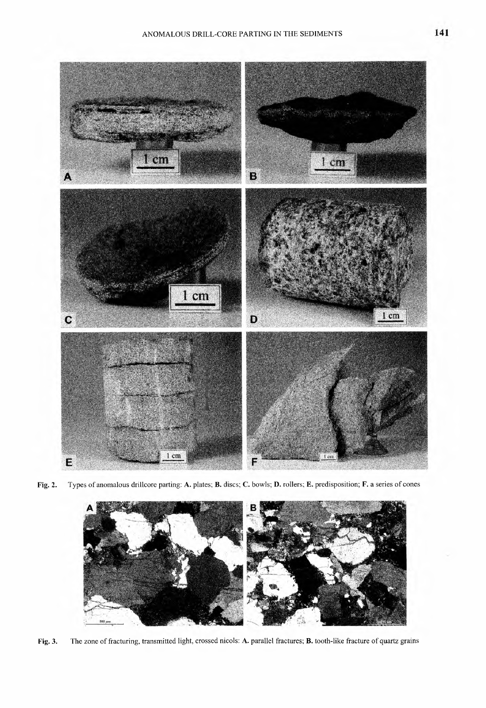

Fig. 2. Types of anomalous drillcore parting: A. plates; B. discs; C. bowls; D. rollers; E. predisposition; F. a series of cones



Fig. 3. The zone of fracturing, transmitted light, crossed nicols: A. parallel fractures; B. tooth-like fracture of quartz grains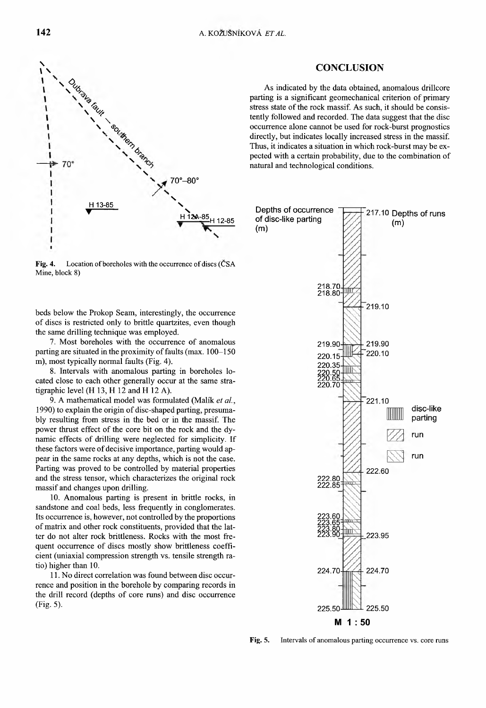

Fig. 4. Location of boreholes with the occurrence of discs (CSA Mine, block 8)

beds below the Prokop Seam, interestingly, the occurrence of discs is restricted only to brittle quartzites, even though the same drilling technique was employed.

7. Most boreholes with the occurrence of anomalous parting are situated in the proximity of faults (max.  $100-150$ ) m), most typically normal faults (Fig. 4).

8. Intervals with anomalous parting in boreholes located close to each other generally occur at the same stratigraphic level (H 13, H 12 and H 12 A).

9. A mathematical model was formulated (Malík et al., 1990) to explain the origin of disc-shaped parting, presumably resulting from stress in the bed or in the massif. The power thrust effect of the core bit on the rock and the dynamic effects of drilling were neglected for simplicity. If these factors were of decisive importance, parting would appear in the same rocks at any depths, which is not the case. Parting was proved to be controlled by material properties and the stress tensor, which characterizes the original rock massif and changes upon drilling.

10. Anomalous parting is present in brittle rocks, in sandstone and coal beds, less frequently in conglomerates. Its occurrence is, however, not controlled by the proportions of matrix and other rock constituents, provided that the latter do not alter rock brittleness. Rocks with the most frequent occurrence of discs mostly show brittleness coefficient (uniaxial compression strength vs. tensile strength ratio) higher than 10.

11. No direct correlation was found between disc occurrence and position in the borehole by comparing records in the drill record (depths of core runs) and disc occurrence (Fig. 5).

#### **CONCLUSION**

As indicated by the data obtained, anomalous drillcore parting is a significant geomechanical criterion of primary stress state of the rock massif. As such, it should be consistently followed and recorded. The data suggest that the disc occurrence alone cannot be used for rock-burst prognostics directly, but indicates locally increased stress in the massif. Thus, it indicates a situation in which rock-burst may be expected with a certain probability, due to the combination of natural and technological conditions.



Fig. 5. Intervals of anomalous parting occurrence vs. core runs